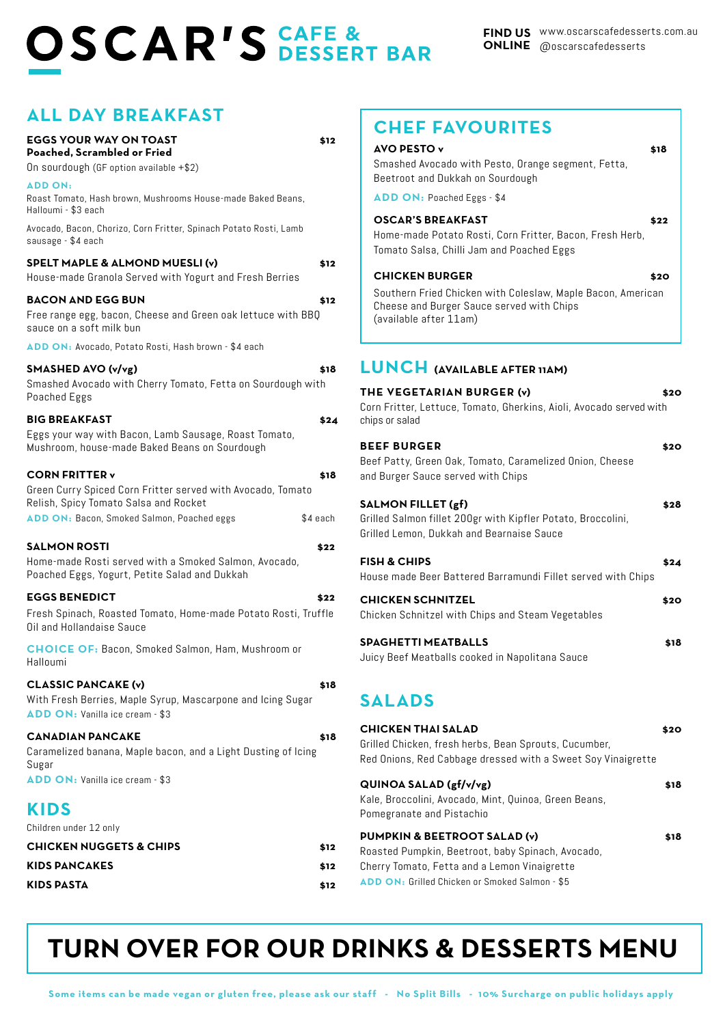# **OSCAR'S DESSERT BAR**

| <b>ALL DAY BREAKFAST</b><br><b>EGGS YOUR WAY ON TOAST</b>                          | \$12     | <b>CHEF FAVOURITES</b>                                                                         |      |
|------------------------------------------------------------------------------------|----------|------------------------------------------------------------------------------------------------|------|
| Poached, Scrambled or Fried                                                        |          | <b>AVO PESTO v</b>                                                                             | \$18 |
| On sourdough (GF option available +\$2)                                            |          | Smashed Avocado with Pesto, Orange segment, Fetta,                                             |      |
| <b>ADD ON:</b>                                                                     |          | Beetroot and Dukkah on Sourdough                                                               |      |
| Roast Tomato, Hash brown, Mushrooms House-made Baked Beans,<br>Halloumi - \$3 each |          | ADD ON: Poached Eggs - \$4                                                                     |      |
| Avocado, Bacon, Chorizo, Corn Fritter, Spinach Potato Rosti, Lamb                  |          | <b>OSCAR'S BREAKFAST</b>                                                                       | \$22 |
| sausage - \$4 each                                                                 |          | Home-made Potato Rosti, Corn Fritter, Bacon, Fresh Herb,                                       |      |
| SPELT MAPLE & ALMOND MUESLI (v)                                                    | \$12     | Tomato Salsa, Chilli Jam and Poached Eggs                                                      |      |
| House-made Granola Served with Yogurt and Fresh Berries                            |          | <b>CHICKEN BURGER</b>                                                                          | \$20 |
| <b>BACON AND EGG BUN</b>                                                           | \$12     | Southern Fried Chicken with Coleslaw, Maple Bacon, American                                    |      |
| Free range egg, bacon, Cheese and Green oak lettuce with BBQ                       |          | Cheese and Burger Sauce served with Chips                                                      |      |
| sauce on a soft milk bun                                                           |          | (available after 11am)                                                                         |      |
| ADD ON: Avocado, Potato Rosti, Hash brown - \$4 each                               |          |                                                                                                |      |
| SMASHED AVO (v/vg)                                                                 | \$18     | LUNCH (AVAILABLE AFTER 11AM)                                                                   |      |
| Smashed Avocado with Cherry Tomato, Fetta on Sourdough with                        |          | THE VEGETARIAN BURGER (v)                                                                      | \$20 |
| Poached Eggs                                                                       |          | Corn Fritter, Lettuce, Tomato, Gherkins, Aioli, Avocado served with                            |      |
| <b>BIG BREAKFAST</b>                                                               | \$24     | chips or salad                                                                                 |      |
| Eggs your way with Bacon, Lamb Sausage, Roast Tomato,                              |          |                                                                                                |      |
| Mushroom, house-made Baked Beans on Sourdough                                      |          | <b>BEEF BURGER</b>                                                                             | \$20 |
| <b>CORN FRITTER v</b>                                                              | \$18     | Beef Patty, Green Oak, Tomato, Caramelized Onion, Cheese<br>and Burger Sauce served with Chips |      |
| Green Curry Spiced Corn Fritter served with Avocado, Tomato                        |          |                                                                                                |      |
| Relish, Spicy Tomato Salsa and Rocket                                              |          | <b>SALMON FILLET (gf)</b>                                                                      | \$28 |
| ADD ON: Bacon, Smoked Salmon, Poached eggs                                         | \$4 each | Grilled Salmon fillet 200gr with Kipfler Potato, Broccolini,                                   |      |
| <b>SALMON ROSTI</b>                                                                | \$22     | Grilled Lemon, Dukkah and Bearnaise Sauce                                                      |      |
| Home-made Rosti served with a Smoked Salmon, Avocado,                              |          | <b>FISH &amp; CHIPS</b>                                                                        | \$24 |
| Poached Eggs, Yogurt, Petite Salad and Dukkah                                      |          | House made Beer Battered Barramundi Fillet served with Chips                                   |      |
| <b>EGGS BENEDICT</b>                                                               | \$22     | <b>CHICKEN SCHNITZEL</b>                                                                       |      |
| Fresh Spinach, Roasted Tomato, Home-made Potato Rosti, Truffle                     |          | Chicken Schnitzel with Chips and Steam Vegetables                                              | \$20 |
| Oil and Hollandaise Sauce                                                          |          |                                                                                                |      |
| <b>CHOICE OF: Bacon, Smoked Salmon, Ham, Mushroom or</b>                           |          | <b>SPAGHETTI MEATBALLS</b>                                                                     | \$18 |
| Halloumi                                                                           |          | Juicy Beef Meatballs cooked in Napolitana Sauce                                                |      |
| <b>CLASSIC PANCAKE (v)</b>                                                         | \$18     |                                                                                                |      |
| With Fresh Berries, Maple Syrup, Mascarpone and Icing Sugar                        |          | <b>SALADS</b>                                                                                  |      |
| ADD ON: Vanilla ice cream - \$3                                                    |          |                                                                                                |      |
| <b>CANADIAN PANCAKE</b>                                                            | \$18     | <b>CHICKEN THAI SALAD</b>                                                                      | \$20 |
| Caramelized banana, Maple bacon, and a Light Dusting of Icing                      |          | Grilled Chicken, fresh herbs, Bean Sprouts, Cucumber,                                          |      |
| Sugar                                                                              |          | Red Onions, Red Cabbage dressed with a Sweet Soy Vinaigrette                                   |      |
| ADD ON: Vanilla ice cream - \$3                                                    |          | QUINOA SALAD (gf/v/vg)                                                                         | \$18 |
|                                                                                    |          | Kale, Broccolini, Avocado, Mint, Quinoa, Green Beans,                                          |      |
| <b>KIDS</b>                                                                        |          | Pomegranate and Pistachio                                                                      |      |
| Children under 12 only                                                             |          | PUMPKIN & BEETROOT SALAD (v)                                                                   | \$18 |
| <b>CHICKEN NUGGETS &amp; CHIPS</b>                                                 | \$12     | Roasted Pumpkin, Beetroot, baby Spinach, Avocado,                                              |      |
| <b>KIDS PANCAKES</b><br>\$12                                                       |          | Cherry Tomato, Fetta and a Lemon Vinaigrette                                                   |      |
| <b>KIDS PASTA</b>                                                                  | \$12     | ADD ON: Grilled Chicken or Smoked Salmon - \$5                                                 |      |

# **TURN OVER FOR OUR DRINKS & DESSERTS MENU**